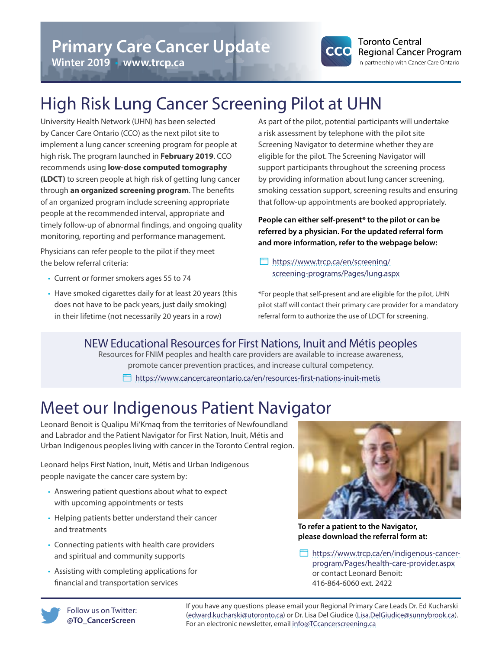

# **Winter 2019** • **www.trcp.ca**

# High Risk Lung Cancer Screening Pilot at UHN

University Health Network (UHN) has been selected by Cancer Care Ontario (CCO) as the next pilot site to implement a lung cancer screening program for people at high risk. The program launched in **February 2019**. CCO recommends using **low-dose computed tomography (LDCT)** to screen people at high risk of getting lung cancer through **an organized screening program**. The benefits of an organized program include screening appropriate people at the recommended interval, appropriate and timely follow-up of abnormal findings, and ongoing quality monitoring, reporting and performance management.

Physicians can refer people to the pilot if they meet the below referral criteria:

- Current or former smokers ages 55 to 74
- Have smoked cigarettes daily for at least 20 years (this does not have to be pack years, just daily smoking) in their lifetime (not necessarily 20 years in a row)

As part of the pilot, potential participants will undertake a risk assessment by telephone with the pilot site Screening Navigator to determine whether they are eligible for the pilot. The Screening Navigator will support participants throughout the screening process by providing information about lung cancer screening, smoking cessation support, screening results and ensuring that follow-up appointments are booked appropriately.

**People can either self-present\* to the pilot or can be referred by a physician. For the updated referral form and more information, refer to the webpage below:**

 [https://www.trcp.ca/en/screening/](https://www.trcp.ca/en/screening/screening-programs/Pages/lung.aspx) [screening-programs/Pages/lung.aspx](https://www.trcp.ca/en/screening/screening-programs/Pages/lung.aspx)

\*For people that self-present and are eligible for the pilot, UHN pilot staff will contact their primary care provider for a mandatory referral form to authorize the use of LDCT for screening.

### NEW Educational Resources for First Nations, Inuit and Métis peoples

Resources for FNIM peoples and health care providers are available to increase awareness, promote cancer prevention practices, and increase cultural competency.

<https://www.cancercareontario.ca/en/resources-first-nations-inuit-metis>

# Meet our Indigenous Patient Navigator

Leonard Benoit is Qualipu Mi'Kmaq from the territories of Newfoundland and Labrador and the Patient Navigator for First Nation, Inuit, Métis and Urban Indigenous peoples living with cancer in the Toronto Central region.

Leonard helps First Nation, Inuit, Métis and Urban Indigenous people navigate the cancer care system by:

- Answering patient questions about what to expect with upcoming appointments or tests
- Helping patients better understand their cancer and treatments
- Connecting patients with health care providers and spiritual and community supports
- Assisting with completing applications for financial and transportation services



**To refer a patient to the Navigator, please download the referral form at:**

 [https://www.trcp.ca/en/indigenous-cancer](https://www.trcp.ca/en/indigenous-cancer-program/Pages/health-care-provider.aspx)[program/Pages/health-care-provider.aspx](https://www.trcp.ca/en/indigenous-cancer-program/Pages/health-care-provider.aspx) or contact Leonard Benoit: 416-864-6060 ext. 2422



If you have any questions please email your Regional Primary Care Leads Dr. Ed Kucharski ([edward.kucharski@utoronto.ca](mailto:edward.kucharski@utoronto.ca)) or Dr. Lisa Del Giudice ([Lisa.DelGiudice@sunnybrook.ca\)](mailto:Lisa.DelGiudice@sunnybrook.ca). For an electronic newsletter, email [info@TCcancerscreening.ca](mailto:info@TCcancerscreening.ca)